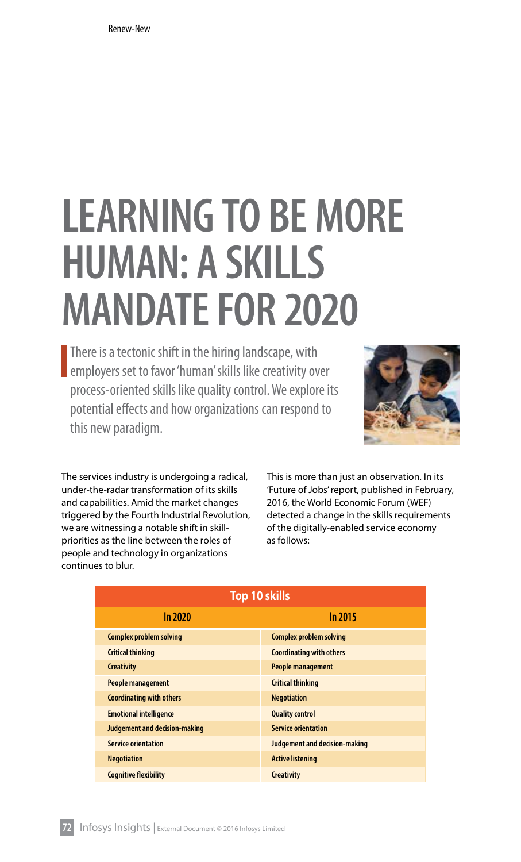## **LEARNING TO BE MORE HUMAN: A SKILLS MANDATE FOR 2020**

There is a tectonic shift in the hiring landscape, with employers set to favor 'human' skills like creativity over process-oriented skills like quality control. We explore its potential effects and how organizations can respond to this new paradigm.



The services industry is undergoing a radical, under-the-radar transformation of its skills and capabilities. Amid the market changes triggered by the Fourth Industrial Revolution, we are witnessing a notable shift in skillpriorities as the line between the roles of people and technology in organizations continues to blur.

This is more than just an observation. In its 'Future of Jobs' report, published in February, 2016, the World Economic Forum (WEF) detected a change in the skills requirements of the digitally-enabled service economy as follows:

| <b>Top 10 skills</b>                 |                                 |
|--------------------------------------|---------------------------------|
| In 2020                              | ln 2015                         |
| <b>Complex problem solving</b>       | <b>Complex problem solving</b>  |
| <b>Critical thinking</b>             | <b>Coordinating with others</b> |
| <b>Creativity</b>                    | People management               |
| People management                    | <b>Critical thinking</b>        |
| <b>Coordinating with others</b>      | <b>Negotiation</b>              |
| <b>Emotional intelligence</b>        | <b>Quality control</b>          |
| <b>Judgement and decision-making</b> | <b>Service orientation</b>      |
| <b>Service orientation</b>           | Judgement and decision-making   |
| <b>Negotiation</b>                   | <b>Active listening</b>         |
| <b>Cognitive flexibility</b>         | <b>Creativity</b>               |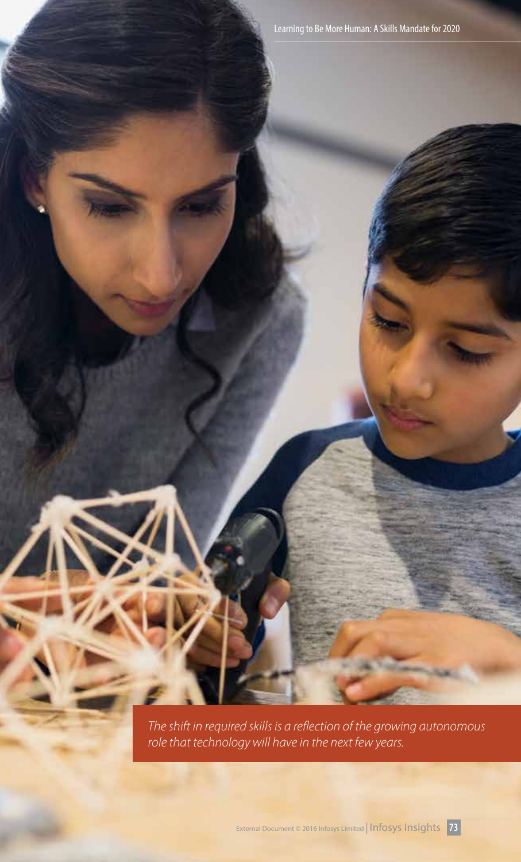*The shift in required skills is a reflection of the growing autonomous role that technology will have in the next few years.*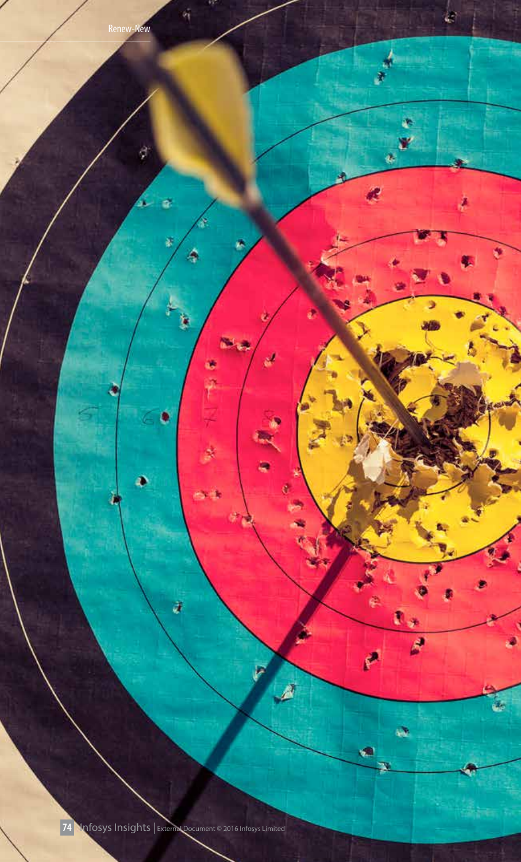$\frac{1}{2}$ é Renew-New  $\frac{1}{s}$ ¢ ¥ ¢ ġ. æ ٥ G. Ŷ ¥ Ą ţ. И. Y. υ,  $\delta^f$ 中产 ۰ ģ. R ۰  $\dot{\rm c}$ ă. ī Ĵ ģ. L P P  $\mathbb{Z}^{\overline{\ell}}$ تحقق  $\epsilon_{\rm c}$ Q. ₹ an Barat **74 Nnfosys Insights** | External Document © 2016 Infosys Limited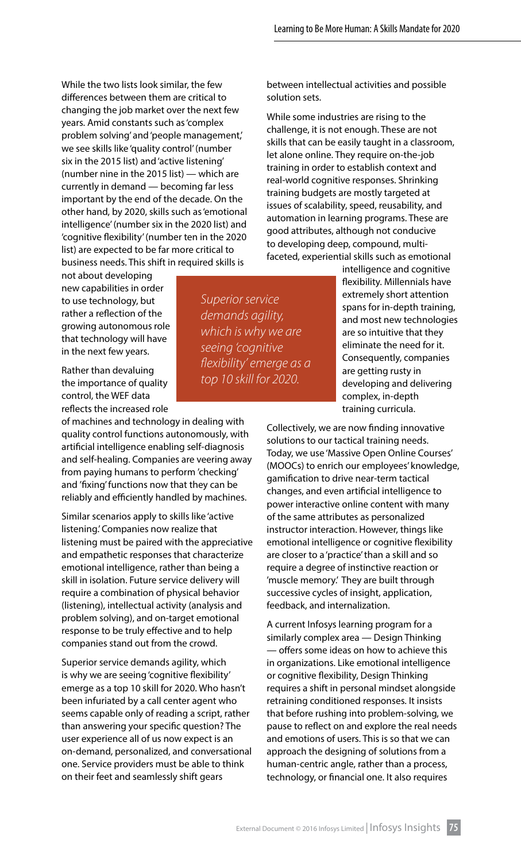While the two lists look similar, the few differences between them are critical to changing the job market over the next few years. Amid constants such as 'complex problem solving' and 'people management,' we see skills like 'quality control' (number six in the 2015 list) and 'active listening' (number nine in the 2015 list) — which are currently in demand — becoming far less important by the end of the decade. On the other hand, by 2020, skills such as 'emotional intelligence' (number six in the 2020 list) and 'cognitive flexibility' (number ten in the 2020 list) are expected to be far more critical to business needs. This shift in required skills is

not about developing new capabilities in order to use technology, but rather a reflection of the growing autonomous role that technology will have in the next few years.

Rather than devaluing the importance of quality control, the WEF data reflects the increased role

of machines and technology in dealing with quality control functions autonomously, with artificial intelligence enabling self-diagnosis and self-healing. Companies are veering away from paying humans to perform 'checking' and 'fixing' functions now that they can be reliably and efficiently handled by machines.

Similar scenarios apply to skills like 'active listening.' Companies now realize that listening must be paired with the appreciative and empathetic responses that characterize emotional intelligence, rather than being a skill in isolation. Future service delivery will require a combination of physical behavior (listening), intellectual activity (analysis and problem solving), and on-target emotional response to be truly effective and to help companies stand out from the crowd.

Superior service demands agility, which is why we are seeing 'cognitive flexibility' emerge as a top 10 skill for 2020. Who hasn't been infuriated by a call center agent who seems capable only of reading a script, rather than answering your specific question? The user experience all of us now expect is an on-demand, personalized, and conversational one. Service providers must be able to think on their feet and seamlessly shift gears

*Superior service demands agility, which is why we are seeing 'cognitive flexibility' emerge as a top 10 skill for 2020.* 

between intellectual activities and possible solution sets.

While some industries are rising to the challenge, it is not enough. These are not skills that can be easily taught in a classroom, let alone online. They require on-the-job training in order to establish context and real-world cognitive responses. Shrinking training budgets are mostly targeted at issues of scalability, speed, reusability, and automation in learning programs. These are good attributes, although not conducive to developing deep, compound, multifaceted, experiential skills such as emotional

intelligence and cognitive flexibility. Millennials have extremely short attention spans for in-depth training, and most new technologies are so intuitive that they eliminate the need for it. Consequently, companies are getting rusty in developing and delivering complex, in-depth training curricula.

Collectively, we are now finding innovative solutions to our tactical training needs. Today, we use 'Massive Open Online Courses' (MOOCs) to enrich our employees' knowledge, gamification to drive near-term tactical changes, and even artificial intelligence to power interactive online content with many of the same attributes as personalized instructor interaction. However, things like emotional intelligence or cognitive flexibility are closer to a 'practice' than a skill and so require a degree of instinctive reaction or 'muscle memory.' They are built through successive cycles of insight, application, feedback, and internalization.

A current Infosys learning program for a similarly complex area — Design Thinking — offers some ideas on how to achieve this in organizations. Like emotional intelligence or cognitive flexibility, Design Thinking requires a shift in personal mindset alongside retraining conditioned responses. It insists that before rushing into problem-solving, we pause to reflect on and explore the real needs and emotions of users. This is so that we can approach the designing of solutions from a human-centric angle, rather than a process, technology, or financial one. It also requires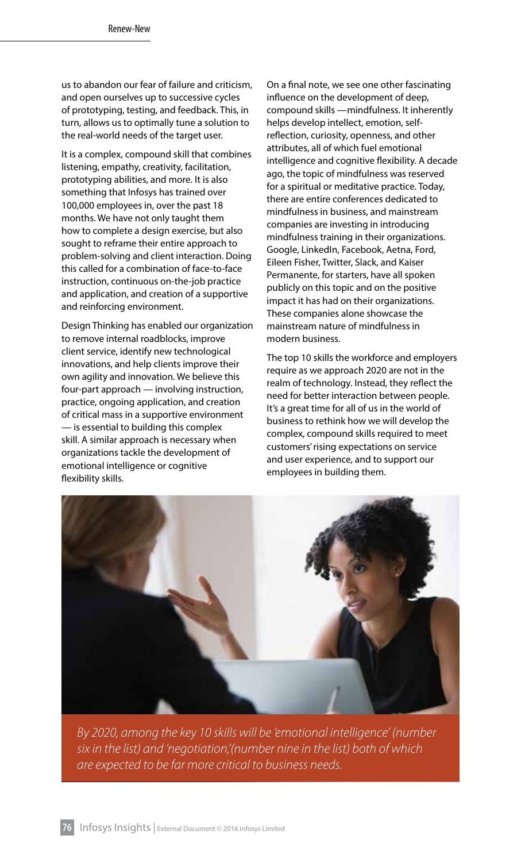us to abandon our fear of failure and criticism, and open ourselves up to successive cycles of prototyping, testing, and feedback. This, in turn, allows us to optimally tune a solution to the real-world needs of the target user.

It is a complex, compound skill that combines listening, empathy, creativity, facilitation, prototyping abilities, and more. It is also something that Infosys has trained over 100,000 employees in, over the past 18 months. We have not only taught them how to complete a design exercise, but also sought to reframe their entire approach to problem-solving and client interaction. Doing this called for a combination of face-to-face instruction, continuous on-the-job practice and application, and creation of a supportive and reinforcing environment.

Design Thinking has enabled our organization to remove internal roadblocks, improve client service, identify new technological innovations, and help clients improve their own agility and innovation. We believe this four-part approach — involving instruction, practice, ongoing application, and creation of critical mass in a supportive environment — is essential to building this complex skill. A similar approach is necessary when organizations tackle the development of emotional intelligence or cognitive flexibility skills.

On a final note, we see one other fascinating influence on the development of deep, compound skills —mindfulness. It inherently helps develop intellect, emotion, selfreflection, curiosity, openness, and other attributes, all of which fuel emotional intelligence and cognitive flexibility. A decade ago, the topic of mindfulness was reserved for a spiritual or meditative practice. Today, there are entire conferences dedicated to mindfulness in business, and mainstream companies are investing in introducing mindfulness training in their organizations. Google, LinkedIn, Facebook, Aetna, Ford, Eileen Fisher, Twitter, Slack, and Kaiser Permanente, for starters, have all spoken publicly on this topic and on the positive impact it has had on their organizations. These companies alone showcase the mainstream nature of mindfulness in modern business.

The top 10 skills the workforce and employers require as we approach 2020 are not in the realm of technology. Instead, they reflect the need for better interaction between people. It's a great time for all of us in the world of business to rethink how we will develop the complex, compound skills required to meet customers' rising expectations on service and user experience, and to support our employees in building them.



*By 2020, among the key 10 skills will be 'emotional intelligence' (number six in the list) and 'negotiation,'(number nine in the list) both of which are expected to be far more critical to business needs.*